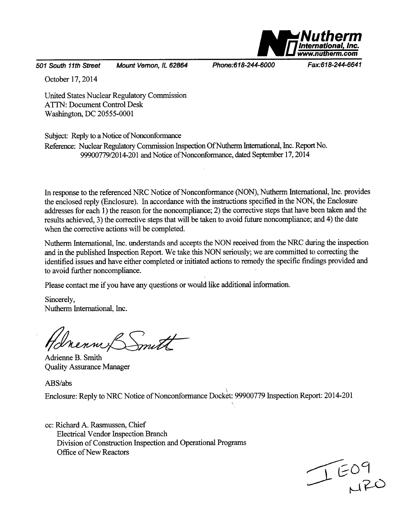

*501 South 11th Street Mount Vernon, IL 62864 Phone:618-244-6000 Fax:618-244-6641*

October 17, 2014

United States Nuclear Regulatory Commission ATTN: Document Control Desk Washington, DC 20555-0001

Subject: Reply to a Notice of Nonconformance

Reference: Nuclear Regulatory Commission Inspection Of Nutherm International, Inc. Report No. 99900779/2014-201 and Notice of Nonconformance, dated September 17, 2014

In response to the referenced NRC Notice of Nonconformance (NON), Nutherm International, Inc. provides the enclosed reply (Enclosure). In accordance with the instructions specified in the NON, the Enclosure addresses for each 1) the reason for the noncompliance; 2) the corrective steps that have been taken and the results achieved, 3) the corrective steps that will be taken to avoid future noncompliance; and 4) the date when the corrective actions will be completed.

Nutherm International, Inc. understands and accepts the NON received from the NRC during the inspection and in the published Inspection Report. We take this NON seriously; we are committed to correcting the identified issues and have either completed or initiated actions to remedy the specific findings provided and to avoid further noncompliance.

Please contact me if you have any questions or would like additional information.

Sincerely, Nutherm International, Inc.

Inenne Smith

Adrienne B. Smith Quality Assurance Manager

ABS/abs

Enclosure: Reply to NRC Notice of Nonconformance Docket: 99900779 Inspection Report: 2014-201

cc: Richard A. Rasmussen, Chief Electrical Vendor Inspection Branch Division of Construction Inspection and Operational Programs Office of New Reactors

 $T=09$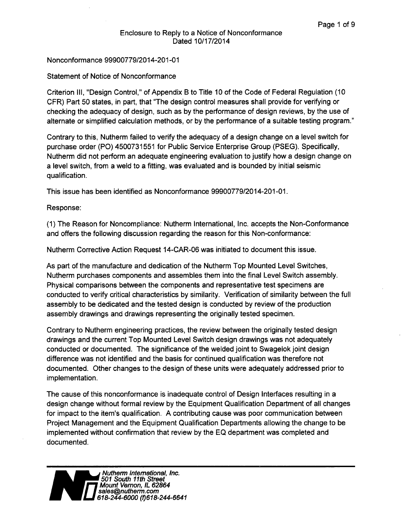### Nonconformance **99900779/2014-201-01**

### Statement of Notice of Nonconformance

Criterion III, "Design Control," of Appendix B to Title 10 of the Code of Federal Regulation (10 CFR) Part 50 states, in part, that "The design control measures shall provide for verifying or checking the adequacy of design, such as by the performance of design reviews, by the use of alternate or simplified calculation methods, or by the performance of a suitable testing program."

Contrary to this, Nutherm failed to verify the adequacy of a design change on a level switch for purchase order (PO) 4500731551 for Public Service Enterprise Group (PSEG). Specifically, Nutherm did not perform an adequate engineering evaluation to justify how a design change on a level switch, from a weld to a fitting, was evaluated and is bounded by initial seismic qualification.

This issue has been identified as Nonconformance 99900779/2014-201-01.

### Response:

(1) The Reason for Noncompliance: Nutherm International, Inc. accepts the Non-Conformance and offers the following discussion regarding the reason for this Non-conformance:

Nutherm Corrective Action Request 14-CAR-06 was initiated to document this issue.

As part of the manufacture and dedication of the Nutherm Top Mounted Level Switches, Nutherm purchases components and assembles them into the final Level Switch assembly. Physical comparisons between the components and representative test specimens are conducted to verify critical characteristics by similarity. Verification of similarity between the full assembly to be dedicated and the tested design is conducted by review of the production assembly drawings and drawings representing the originally tested specimen.

Contrary to Nutherm engineering practices, the review between the originally tested design drawings and the current Top Mounted Level Switch design drawings was not adequately conducted or documented. The significance of the welded joint to Swagelok joint design difference was not identified and the basis for continued qualification was therefore not documented. Other changes to the design of these units were adequately addressed prior to implementation.

The cause of this nonconformance is inadequate control of Design Interfaces resulting in a design change without formal review by the Equipment Qualification Department of all changes for impact to the item's qualification. A contributing cause was poor communication between Project Management and the Equipment Qualification Departments allowing the change to be implemented without confirmation that review by the EQ department was completed and documented.

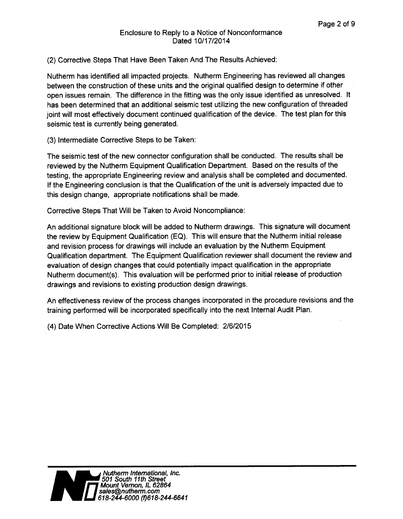# (2) Corrective Steps That Have Been Taken And The Results Achieved:

Nutherm has identified all impacted projects. Nutherm Engineering has reviewed all changes between the construction of these units and the original qualified design to determine if other open issues remain. The difference in the fitting was the only issue identified as unresolved. It has been determined that an additional seismic test utilizing the new configuration of threaded joint will most effectively document continued qualification of the device. The test plan for this seismic test is currently being generated.

(3) Intermediate Corrective Steps to be Taken:

The seismic test of the new connector configuration shall be conducted. The results shall be reviewed by the Nutherm Equipment Qualification Department. Based on the results of the testing, the appropriate Engineering review and analysis shall be completed and documented. If the Engineering conclusion is that the Qualification of the unit is adversely impacted due to this design change, appropriate notifications shall be made.

Corrective Steps That Will be Taken to Avoid Noncompliance:

An additional signature block will be added to Nutherm drawings. This signature will document the review by Equipment Qualification (EQ). This will ensure that the Nutherm initial release and revision process for drawings will include an evaluation by the Nutherm Equipment Qualification department. The Equipment Qualification reviewer shall document the review and evaluation of design changes that could potentially impact qualification in the appropriate Nutherm document(s). This evaluation will be performed prior to initial release of production drawings and revisions to existing production design drawings.

An effectiveness review of the process changes incorporated in the procedure revisions and the training performed will be incorporated specifically into the next Internal Audit Plan.

(4) Date When Corrective Actions Will Be Completed: 2/6/2015

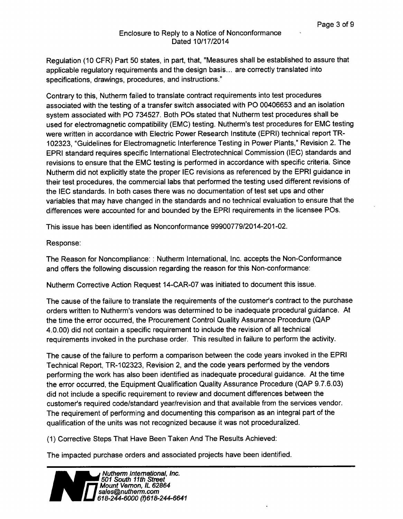Regulation (10 CFR) Part 50 states, in part, that, "Measures shall be established to assure that applicable regulatory requirements and the design basis... are correctly translated into specifications, drawings, procedures, and instructions."

Contrary to this, Nutherm failed to translate contract requirements into test procedures associated with the testing of a transfer switch associated with PO 00406653 and an isolation system associated with PO 734527. Both POs stated that Nutherm test procedures shall be used for electromagnetic compatibility (EMC) testing. Nutherm's test procedures for EMC testing were written in accordance with Electric Power Research Institute (EPRI) technical report TR-102323, "Guidelines for Electromagnetic Interference Testing in Power Plants," Revision 2. The EPRI standard requires specific International Electrotechnical Commission (IEC) standards and revisions to ensure that the EMC testing is performed in accordance with specific criteria. Since Nutherm did not explicitly state the proper IEC revisions as referenced by the EPRI guidance in their test procedures, the commercial labs that performed the testing used different revisions of the IEC standards. In both cases there was no documentation of test set ups and other variables that may have changed in the standards and no technical evaluation to ensure that the differences were accounted for and bounded by the EPRI requirements in the licensee POs.

This issue has been identified as Nonconformance 99900779/2014-201-02.

#### Response:

The Reason for Noncompliance: : Nutherm International, Inc. accepts the Non-Conformance and offers the following discussion regarding the reason for this Non-conformance:

Nutherm Corrective Action Request 14-CAR-07 was initiated to document this issue.

The cause of the failure to translate the requirements of the customer's contract to the purchase orders written to Nutherm's vendors was determined to be inadequate procedural guidance. At the time the error occurred, the Procurement Control Quality Assurance Procedure (QAP 4.0.00) did not contain a specific requirement to include the revision of all technical requirements invoked in the purchase order. This resulted in failure to perform the activity.

The cause of the failure to perform a comparison between the code years invoked in the EPRI Technical Report, TR-102323, Revision 2, and the code years performed by the vendors performing the work has also been identified as inadequate procedural guidance. At the time the error occurred, the Equipment Qualification Quality Assurance Procedure (QAP 9.7.6.03) did not include a specific requirement to review and document differences between the customer's required code/standard year/revision and that available from the services vendor. The requirement of performing and documenting this comparison as an integral part of the qualification of the units was not recognized because it was not proceduralized.

(1) Corrective Steps That Have Been Taken And The Results Achieved:

The impacted purchase orders and associated projects have been identified.

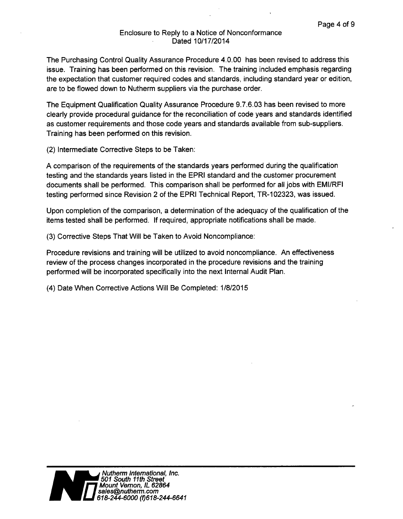The Purchasing Control Quality Assurance Procedure 4.0.00 has been revised to address this issue. Training has been performed on this revision. The training included emphasis regarding the expectation that customer required codes and standards, including standard year or edition, are to be flowed down to Nutherm suppliers via the purchase order.

The Equipment Qualification Quality Assurance Procedure 9.7.6.03 has been revised to more clearly provide procedural guidance for the reconciliation of code years and standards identified as customer requirements and those code years and standards available from sub-suppliers. Training has been performed on this revision.

(2) Intermediate Corrective Steps to be Taken:

A comparison of the requirements of the standards years performed during the qualification testing and the standards years listed in the EPRI standard and the customer procurement documents shall be performed. This comparison shall be performed for all jobs with EMI/RFI testing performed since Revision 2 of the EPRI Technical Report, TR-102323, was issued.

Upon completion of the comparison, a determination of the adequacy of the qualification of the items tested shall be performed. If required, appropriate notifications shall be made.

(3) Corrective Steps That Will be Taken to Avoid Noncompliance:

Procedure revisions and training will be utilized to avoid noncompliance. An effectiveness review of the process changes incorporated in the procedure revisions and the training performed will be incorporated specifically into the next Internal Audit Plan.

(4) Date When Corrective Actions Will Be Completed: 1/8/2015

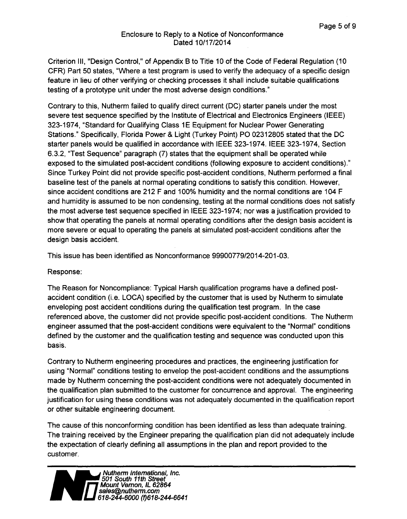Criterion III, "Design Control," of Appendix B to Title 10 of the Code of Federal Regulation (10 CFR) Part 50 states, "Where a test program is used to verify the adequacy of a specific design feature in lieu of other verifying or checking processes it shall include suitable qualifications testing of a prototype unit under the most adverse design conditions."

Contrary to this, Nutherm failed to qualify direct current (DC) starter panels under the most severe test sequence specified by the Institute of Electrical and Electronics Engineers (IEEE) 323-1974, "Standard for Qualifying Class 1 E Equipment for Nuclear Power Generating Stations." Specifically, Florida Power & Light (Turkey Point) PO 02312805 stated that the DC starter panels would be qualified in accordance with IEEE 323-1974. IEEE 323-1974, Section 6.3.2, "Test Sequence" paragraph (7) states that the equipment shall be operated while exposed to the simulated post-accident conditions (following exposure to accident conditions)." Since Turkey Point did not provide specific post-accident conditions, Nutherm performed a final baseline test of the panels at normal operating conditions to satisfy this condition. However, since accident conditions are 212 F and 100% humidity and the normal conditions are 104 F and humidity is assumed to be non condensing, testing at the normal conditions does not satisfy the most adverse test sequence specified in IEEE 323-1974; nor was a justification provided to show that operating the panels at normal operating conditions after the design basis accident is more severe or equal to operating the panels at simulated post-accident conditions after the design basis accident.

This issue has been identified as Nonconformance 99900779/2014-201-03.

Response:

The Reason for Noncompliance: Typical Harsh qualification programs have a defined postaccident condition (i.e. LOCA) specified by the customer that is used by Nutherm to simulate enveloping post accident conditions during the qualification test program. In the case referenced above, the customer did not provide specific post-accident conditions. The Nutherm engineer assumed that the post-accident conditions were equivalent to the "Normal" conditions defined by the customer and the qualification testing and sequence was conducted upon this basis.

Contrary to Nutherm engineering procedures and practices, the engineering justification for using "Normal" conditions testing to envelop the post-accident conditions and the assumptions made by Nutherm concerning the post-accident conditions were not adequately documented in the qualification plan submitted to the customer for concurrence and approval. The engineering justification for using these conditions was not adequately documented in the qualification report or other suitable engineering document.

The cause of this nonconforming condition has been identified as less than adequate training. The training received by the Engineer preparing the qualification plan did not adequately include the expectation of clearly defining all assumptions in the plan and report provided to the customer.

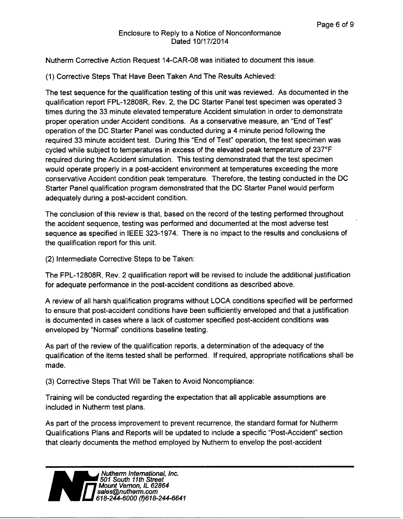Nutherm Corrective Action Request 14-CAR-08 was initiated to document this issue.

(1) Corrective Steps That Have Been Taken And The Results Achieved:

The test sequence for the qualification testing of this unit was reviewed. As documented in the qualification report FPL-12808R, Rev. 2, the DC Starter Panel test specimen was operated 3 times during the 33 minute elevated temperature Accident simulation in order to demonstrate proper operation under Accident conditions. As a conservative measure, an "End of Test" operation of the DC Starter Panel was conducted during a 4 minute period following the required 33 minute accident test. During this "End of Test" operation, the test specimen was cycled while subject to temperatures in excess of the elevated peak temperature of 237°F required during the Accident simulation. This testing demonstrated that the test specimen would operate properly in a post-accident environment at temperatures exceeding the more conservative Accident condition peak temperature. Therefore, the testing conducted in the DC Starter Panel qualification program demonstrated that the DC Starter Panel would perform adequately during a post-accident condition.

The conclusion of this review is that, based on the record of the testing performed throughout the accident sequence, testing was performed and documented at the most adverse test sequence as specified in IEEE 323-1974. There is no impact to the results and conclusions of the qualification report for this unit.

(2) Intermediate Corrective Steps to be Taken:

The FPL-12808R, Rev. 2 qualification report will be revised to include the additional justification for adequate performance in the post-accident conditions as described above.

A review of all harsh qualification programs without LOCA conditions specified will be performed to ensure that post-accident conditions have been sufficiently enveloped and that a justification is documented in cases where a lack of customer specified post-accident conditions was enveloped by "Normal" conditions baseline testing.

As part of the review of the qualification reports, a determination of the adequacy of the qualification of the items tested shall be performed. If required, appropriate notifications shall be made.

(3) Corrective Steps That Will be Taken to Avoid Noncompliance:

Training will be conducted regarding the expectation that all applicable assumptions are included in Nutherm test plans.

As part of the process improvement to prevent recurrence, the standard format for Nutherm Qualifications Plans and Reports will be updated to include a specific "Post-Accident" section that clearly documents the method employed by Nutherm to envelop the post-accident

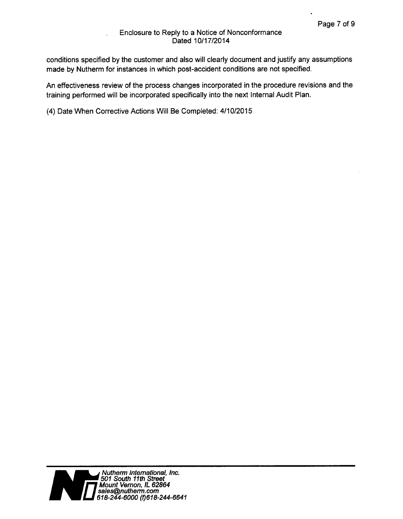conditions specified by the customer and also will clearly document and justify any assumptions made by Nutherm for instances in which post-accident conditions are not specified.

An effectiveness review of the process changes incorporated in the procedure revisions and the training performed will be incorporated specifically into the next Internal Audit Plan.

(4) Date When Corrective Actions Will Be Completed: 4/10/2015

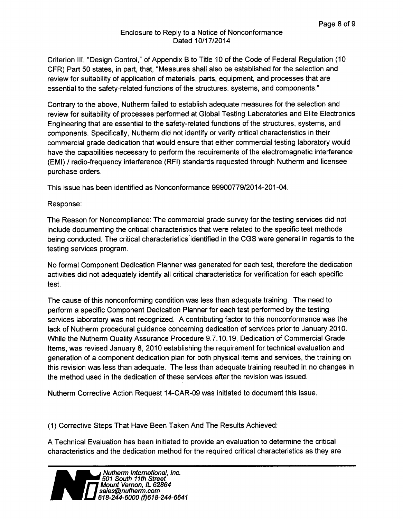Criterion **III,** "Design Control," of Appendix B to Title 10 of the Code of Federal Regulation (10 CFR) Part 50 states, in part, that, "Measures shall also be established for the selection and review for suitability of application of materials, parts, equipment, and processes that are essential to the safety-related functions of the structures, systems, and components."

Contrary to the above, Nutherm failed to establish adequate measures for the selection and review for suitability of processes performed at Global Testing Laboratories and Elite Electronics Engineering that are essential to the safety-related functions of the structures, systems, and components. Specifically, Nutherm did not identify or verify critical characteristics in their commercial grade dedication that would ensure that either commercial testing laboratory would have the capabilities necessary to perform the requirements of the electromagnetic interference (EMI) **/** radio-frequency interference (RFI) standards requested through Nutherm and licensee purchase orders.

This issue has been identified as Nonconformance 99900779/2014-201-04.

Response:

The Reason for Noncompliance: The commercial grade survey for the testing services did not include documenting the critical characteristics that were related to the specific test methods being conducted. The critical characteristics identified in the CGS were general in regards to the testing services program.

No formal Component Dedication Planner was generated for each test, therefore the dedication activities did not adequately identify all critical characteristics for verification for each specific test.

The cause of this nonconforming condition was less than adequate training. The need to perform a specific Component Dedication Planner for each test performed by the testing services laboratory was not recognized. A contributing factor to this nonconformance was the lack of Nutherm procedural guidance concerning dedication of services prior to January 2010. While the Nutherm Quality Assurance Procedure 9.7.10.19, Dedication of Commercial Grade Items, was revised January 8, 2010 establishing the requirement for technical evaluation and generation of a component dedication plan for both physical items and services, the training on this revision was less than adequate. The less than adequate training resulted in no changes in the method used in the dedication of these services after the revision was issued.

Nutherm Corrective Action Request 14-CAR-09 was initiated to document this issue.

(1) Corrective Steps That Have Been Taken And The Results Achieved:

A Technical Evaluation has been initiated to provide an evaluation to determine the critical characteristics and the dedication method for the required critical characteristics as they are